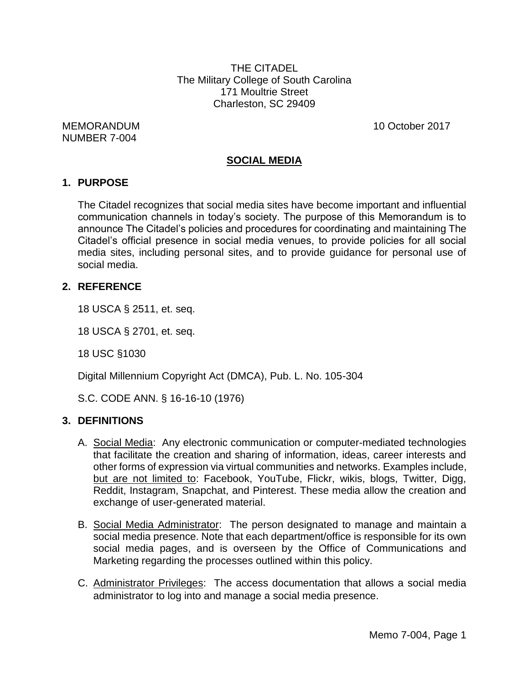THE CITADEL The Military College of South Carolina 171 Moultrie Street Charleston, SC 29409

MEMORANDUM 10 October 2017 NUMBER 7-004

# **SOCIAL MEDIA**

#### **1. PURPOSE**

The Citadel recognizes that social media sites have become important and influential communication channels in today's society. The purpose of this Memorandum is to announce The Citadel's policies and procedures for coordinating and maintaining The Citadel's official presence in social media venues, to provide policies for all social media sites, including personal sites, and to provide guidance for personal use of social media.

#### **2. REFERENCE**

18 USCA § 2511, et. seq.

18 USCA § 2701, et. seq.

18 USC §1030

Digital Millennium Copyright Act (DMCA), Pub. L. No. 105-304

S.C. CODE ANN. § 16-16-10 (1976)

#### **3. DEFINITIONS**

- A. Social Media: Any electronic communication or computer-mediated technologies that facilitate the creation and sharing of information, ideas, career interests and other forms of expression via virtual communities and networks. Examples include, but are not limited to: Facebook, YouTube, Flickr, wikis, blogs, Twitter, Digg, Reddit, Instagram, Snapchat, and Pinterest. These media allow the creation and exchange of user-generated material.
- B. Social Media Administrator: The person designated to manage and maintain a social media presence. Note that each department/office is responsible for its own social media pages, and is overseen by the Office of Communications and Marketing regarding the processes outlined within this policy.
- C. Administrator Privileges: The access documentation that allows a social media administrator to log into and manage a social media presence.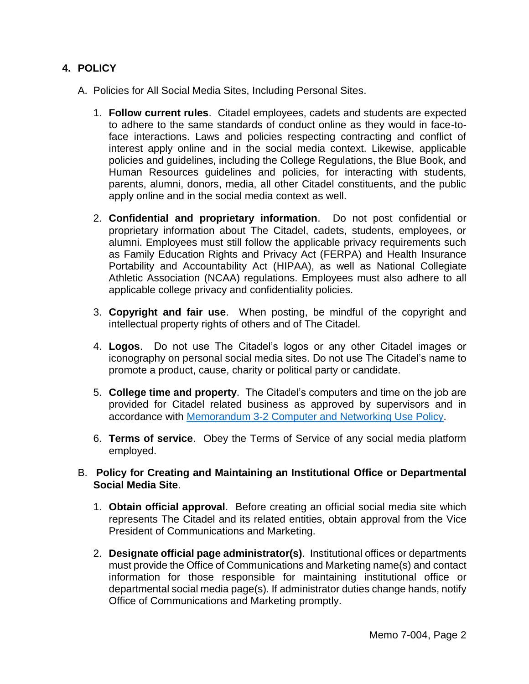# **4. POLICY**

- A. Policies for All Social Media Sites, Including Personal Sites.
	- 1. **Follow current rules**. Citadel employees, cadets and students are expected to adhere to the same standards of conduct online as they would in face-toface interactions. Laws and policies respecting contracting and conflict of interest apply online and in the social media context. Likewise, applicable policies and guidelines, including the College Regulations, the Blue Book, and Human Resources guidelines and policies, for interacting with students, parents, alumni, donors, media, all other Citadel constituents, and the public apply online and in the social media context as well.
	- 2. **Confidential and proprietary information**. Do not post confidential or proprietary information about The Citadel, cadets, students, employees, or alumni. Employees must still follow the applicable privacy requirements such as Family Education Rights and Privacy Act (FERPA) and Health Insurance Portability and Accountability Act (HIPAA), as well as National Collegiate Athletic Association (NCAA) regulations. Employees must also adhere to all applicable college privacy and confidentiality policies.
	- 3. **Copyright and fair use**. When posting, be mindful of the copyright and intellectual property rights of others and of The Citadel.
	- 4. **Logos**. Do not use The Citadel's logos or any other Citadel images or iconography on personal social media sites. Do not use The Citadel's name to promote a product, cause, charity or political party or candidate.
	- 5. **College time and property**. The Citadel's computers and time on the job are provided for Citadel related business as approved by supervisors and in accordance with [Memorandum 3-2 Computer and Networking Use Policy.](http://www.citadel.edu/root/images/policies/3-602-computer-and-networking-use-policy.pdf)
	- 6. **Terms of service**. Obey the Terms of Service of any social media platform employed.
- B. **Policy for Creating and Maintaining an Institutional Office or Departmental Social Media Site**.
	- 1. **Obtain official approval**. Before creating an official social media site which represents The Citadel and its related entities, obtain approval from the Vice President of Communications and Marketing.
	- 2. **Designate official page administrator(s)**. Institutional offices or departments must provide the Office of Communications and Marketing name(s) and contact information for those responsible for maintaining institutional office or departmental social media page(s). If administrator duties change hands, notify Office of Communications and Marketing promptly.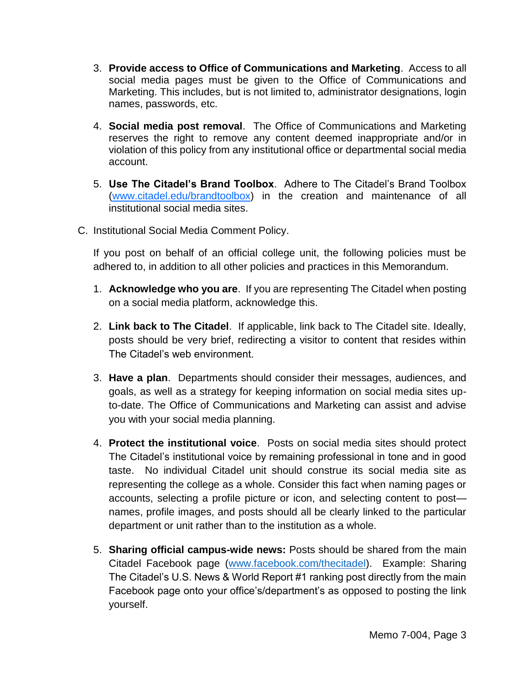- 3. **Provide access to Office of Communications and Marketing**. Access to all social media pages must be given to the Office of Communications and Marketing. This includes, but is not limited to, administrator designations, login names, passwords, etc.
- 4. **Social media post removal**. The Office of Communications and Marketing reserves the right to remove any content deemed inappropriate and/or in violation of this policy from any institutional office or departmental social media account.
- 5. **Use The Citadel's Brand Toolbox**. Adhere to The Citadel's Brand Toolbox [\(www.citadel.edu/brandtoolbox\)](http://www.citadel.edu/brandtoolbox) in the creation and maintenance of all institutional social media sites.
- C. Institutional Social Media Comment Policy.

If you post on behalf of an official college unit, the following policies must be adhered to, in addition to all other policies and practices in this Memorandum.

- 1. **Acknowledge who you are**. If you are representing The Citadel when posting on a social media platform, acknowledge this.
- 2. **Link back to The Citadel**. If applicable, link back to The Citadel site. Ideally, posts should be very brief, redirecting a visitor to content that resides within The Citadel's web environment.
- 3. **Have a plan**. Departments should consider their messages, audiences, and goals, as well as a strategy for keeping information on social media sites upto-date. The Office of Communications and Marketing can assist and advise you with your social media planning.
- 4. **Protect the institutional voice**. Posts on social media sites should protect The Citadel's institutional voice by remaining professional in tone and in good taste. No individual Citadel unit should construe its social media site as representing the college as a whole. Consider this fact when naming pages or accounts, selecting a profile picture or icon, and selecting content to post names, profile images, and posts should all be clearly linked to the particular department or unit rather than to the institution as a whole.
- 5. **Sharing official campus-wide news:** Posts should be shared from the main Citadel Facebook page [\(www.facebook.com/thecitadel\)](http://www.facebook.com/thecitadel). Example: Sharing The Citadel's U.S. News & World Report #1 ranking post directly from the main Facebook page onto your office's/department's as opposed to posting the link yourself.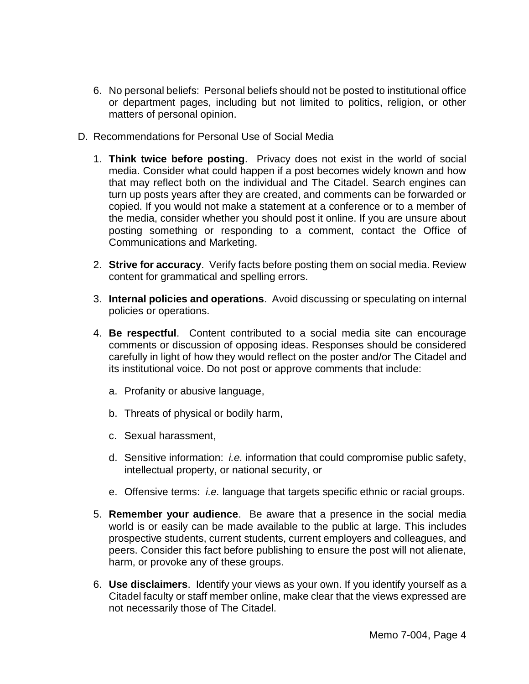- 6. No personal beliefs: Personal beliefs should not be posted to institutional office or department pages, including but not limited to politics, religion, or other matters of personal opinion.
- D. Recommendations for Personal Use of Social Media
	- 1. **Think twice before posting**. Privacy does not exist in the world of social media. Consider what could happen if a post becomes widely known and how that may reflect both on the individual and The Citadel. Search engines can turn up posts years after they are created, and comments can be forwarded or copied. If you would not make a statement at a conference or to a member of the media, consider whether you should post it online. If you are unsure about posting something or responding to a comment, contact the Office of Communications and Marketing.
	- 2. **Strive for accuracy**. Verify facts before posting them on social media. Review content for grammatical and spelling errors.
	- 3. **Internal policies and operations**. Avoid discussing or speculating on internal policies or operations.
	- 4. **Be respectful**. Content contributed to a social media site can encourage comments or discussion of opposing ideas. Responses should be considered carefully in light of how they would reflect on the poster and/or The Citadel and its institutional voice. Do not post or approve comments that include:
		- a. Profanity or abusive language,
		- b. Threats of physical or bodily harm,
		- c. Sexual harassment,
		- d. Sensitive information: *i.e.* information that could compromise public safety, intellectual property, or national security, or
		- e. Offensive terms: *i.e.* language that targets specific ethnic or racial groups.
	- 5. **Remember your audience**. Be aware that a presence in the social media world is or easily can be made available to the public at large. This includes prospective students, current students, current employers and colleagues, and peers. Consider this fact before publishing to ensure the post will not alienate, harm, or provoke any of these groups.
	- 6. **Use disclaimers**. Identify your views as your own. If you identify yourself as a Citadel faculty or staff member online, make clear that the views expressed are not necessarily those of The Citadel.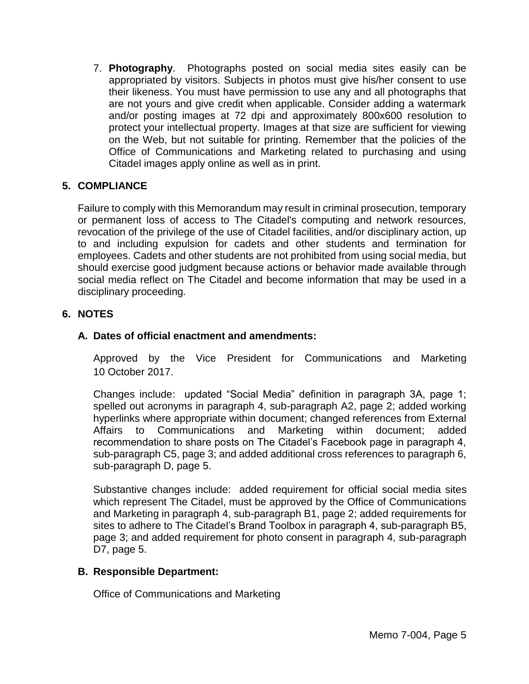7. **Photography**. Photographs posted on social media sites easily can be appropriated by visitors. Subjects in photos must give his/her consent to use their likeness. You must have permission to use any and all photographs that are not yours and give credit when applicable. Consider adding a watermark and/or posting images at 72 dpi and approximately 800x600 resolution to protect your intellectual property. Images at that size are sufficient for viewing on the Web, but not suitable for printing. Remember that the policies of the Office of Communications and Marketing related to purchasing and using Citadel images apply online as well as in print.

## **5. COMPLIANCE**

Failure to comply with this Memorandum may result in criminal prosecution, temporary or permanent loss of access to The Citadel's computing and network resources, revocation of the privilege of the use of Citadel facilities, and/or disciplinary action, up to and including expulsion for cadets and other students and termination for employees. Cadets and other students are not prohibited from using social media, but should exercise good judgment because actions or behavior made available through social media reflect on The Citadel and become information that may be used in a disciplinary proceeding.

## **6. NOTES**

## **A. Dates of official enactment and amendments:**

Approved by the Vice President for Communications and Marketing 10 October 2017.

Changes include: updated "Social Media" definition in paragraph 3A, page 1; spelled out acronyms in paragraph 4, sub-paragraph A2, page 2; added working hyperlinks where appropriate within document; changed references from External Affairs to Communications and Marketing within document; added recommendation to share posts on The Citadel's Facebook page in paragraph 4, sub-paragraph C5, page 3; and added additional cross references to paragraph 6, sub-paragraph D, page 5.

Substantive changes include: added requirement for official social media sites which represent The Citadel, must be approved by the Office of Communications and Marketing in paragraph 4, sub-paragraph B1, page 2; added requirements for sites to adhere to The Citadel's Brand Toolbox in paragraph 4, sub-paragraph B5, page 3; and added requirement for photo consent in paragraph 4, sub-paragraph D7, page 5.

#### **B. Responsible Department:**

Office of Communications and Marketing